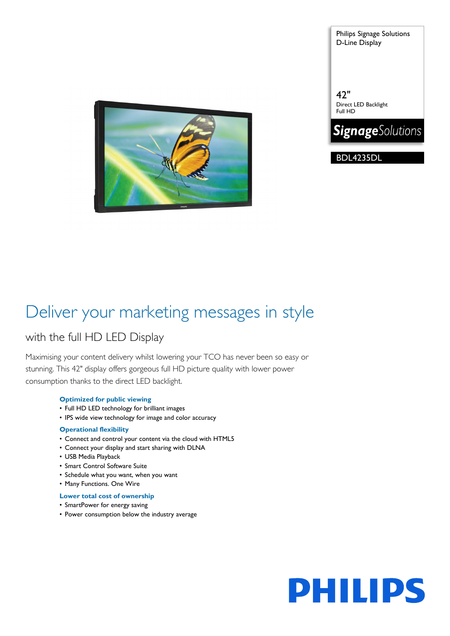Philips Signage Solutions D-Line Display



42" Direct LED Backlight Full HD



BDL4235DL

### Deliver your marketing messages in style

### with the full HD LED Display

Maximising your content delivery whilst lowering your TCO has never been so easy or stunning. This 42" display offers gorgeous full HD picture quality with lower power consumption thanks to the direct LED backlight.

### **Optimized for public viewing**

- Full HD LED technology for brilliant images
- IPS wide view technology for image and color accuracy

### **Operational flexibility**

- Connect and control your content via the cloud with HTML5
- Connect your display and start sharing with DLNA
- USB Media Playback
- Smart Control Software Suite
- Schedule what you want, when you want
- Many Functions. One Wire

### **Lower total cost of ownership**

- SmartPower for energy saving
- Power consumption below the industry average

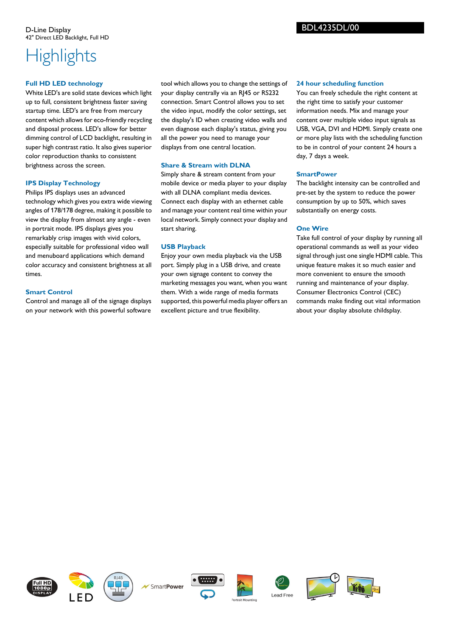## **Highlights**

### **Full HD LED technology**

White LED's are solid state devices which light up to full, consistent brightness faster saving startup time. LED's are free from mercury content which allows for eco-friendly recycling and disposal process. LED's allow for better dimming control of LCD backlight, resulting in super high contrast ratio. It also gives superior color reproduction thanks to consistent brightness across the screen.

### **IPS Display Technology**

Philips IPS displays uses an advanced technology which gives you extra wide viewing angles of 178/178 degree, making it possible to view the display from almost any angle - even in portrait mode. IPS displays gives you remarkably crisp images with vivid colors, especially suitable for professional video wall and menuboard applications which demand color accuracy and consistent brightness at all times.

### **Smart Control**

Control and manage all of the signage displays on your network with this powerful software

tool which allows you to change the settings of your display centrally via an RJ45 or RS232 connection. Smart Control allows you to set the video input, modify the color settings, set the display's ID when creating video walls and even diagnose each display's status, giving you all the power you need to manage your displays from one central location.

### **Share & Stream with DLNA**

Simply share & stream content from your mobile device or media player to your display with all DLNA compliant media devices. Connect each display with an ethernet cable and manage your content real time within your local network. Simply connect your display and start sharing.

### **USB Playback**

Enjoy your own media playback via the USB port. Simply plug in a USB drive, and create your own signage content to convey the marketing messages you want, when you want them. With a wide range of media formats supported, this powerful media player offers an excellent picture and true flexibility.

### **24 hour scheduling function**

BDL4235DL/00

You can freely schedule the right content at the right time to satisfy your customer information needs. Mix and manage your content over multiple video input signals as USB, VGA, DVI and HDMI. Simply create one or more play lists with the scheduling function to be in control of your content 24 hours a day, 7 days a week.

### **SmartPower**

The backlight intensity can be controlled and pre-set by the system to reduce the power consumption by up to 50%, which saves substantially on energy costs.

### **One Wire**

Take full control of your display by running all operational commands as well as your video signal through just one single HDMI cable. This unique feature makes it so much easier and more convenient to ensure the smooth running and maintenance of your display. Consumer Electronics Control (CEC) commands make finding out vital information about your display absolute childsplay.